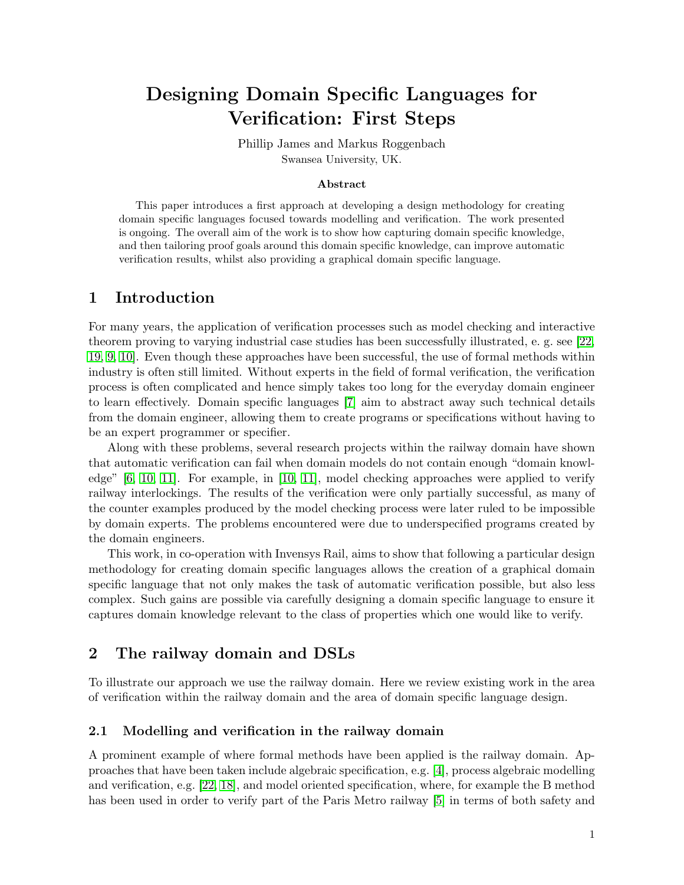# Designing Domain Specific Languages for Verification: First Steps

Phillip James and Markus Roggenbach Swansea University, UK.

#### Abstract

This paper introduces a first approach at developing a design methodology for creating domain specific languages focused towards modelling and verification. The work presented is ongoing. The overall aim of the work is to show how capturing domain specific knowledge, and then tailoring proof goals around this domain specific knowledge, can improve automatic verification results, whilst also providing a graphical domain specific language.

#### 1 Introduction

For many years, the application of verification processes such as model checking and interactive theorem proving to varying industrial case studies has been successfully illustrated, e. g. see [\[22,](#page-5-0) [19,](#page-5-1) [9,](#page-5-2) [10\]](#page-5-3). Even though these approaches have been successful, the use of formal methods within industry is often still limited. Without experts in the field of formal verification, the verification process is often complicated and hence simply takes too long for the everyday domain engineer to learn effectively. Domain specific languages [\[7\]](#page-5-4) aim to abstract away such technical details from the domain engineer, allowing them to create programs or specifications without having to be an expert programmer or specifier.

Along with these problems, several research projects within the railway domain have shown that automatic verification can fail when domain models do not contain enough "domain knowledge" [\[6,](#page-5-5) [10,](#page-5-3) [11\]](#page-5-6). For example, in [\[10,](#page-5-3) [11\]](#page-5-6), model checking approaches were applied to verify railway interlockings. The results of the verification were only partially successful, as many of the counter examples produced by the model checking process were later ruled to be impossible by domain experts. The problems encountered were due to underspecified programs created by the domain engineers.

This work, in co-operation with Invensys Rail, aims to show that following a particular design methodology for creating domain specific languages allows the creation of a graphical domain specific language that not only makes the task of automatic verification possible, but also less complex. Such gains are possible via carefully designing a domain specific language to ensure it captures domain knowledge relevant to the class of properties which one would like to verify.

## 2 The railway domain and DSLs

To illustrate our approach we use the railway domain. Here we review existing work in the area of verification within the railway domain and the area of domain specific language design.

#### 2.1 Modelling and verification in the railway domain

A prominent example of where formal methods have been applied is the railway domain. Approaches that have been taken include algebraic specification, e.g. [\[4\]](#page-5-7), process algebraic modelling and verification, e.g. [\[22,](#page-5-0) [18\]](#page-5-8), and model oriented specification, where, for example the B method has been used in order to verify part of the Paris Metro railway [\[5\]](#page-5-9) in terms of both safety and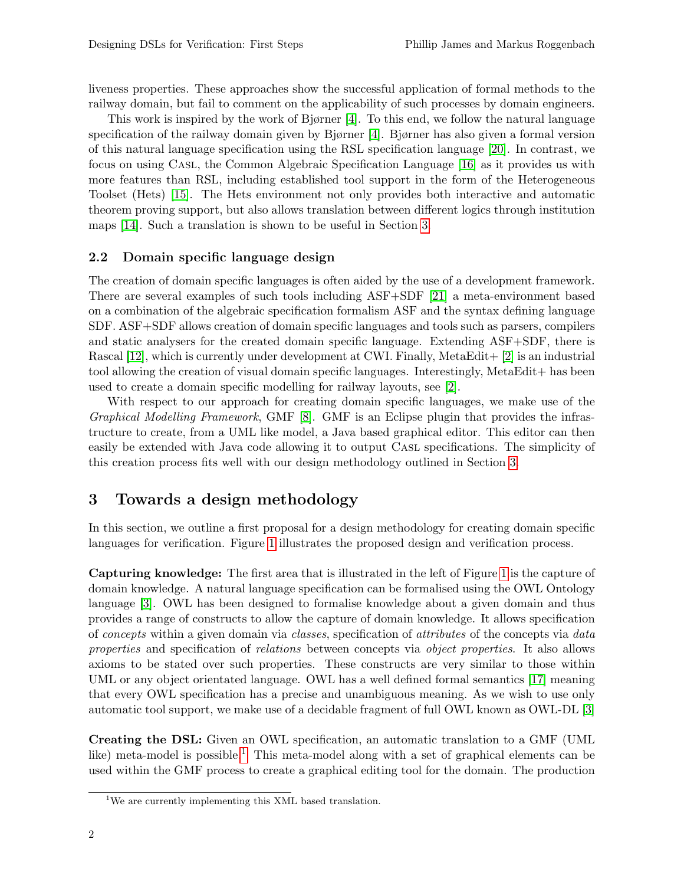liveness properties. These approaches show the successful application of formal methods to the railway domain, but fail to comment on the applicability of such processes by domain engineers.

This work is inspired by the work of Bjørner [\[4\]](#page-5-7). To this end, we follow the natural language specification of the railway domain given by Bjørner [\[4\]](#page-5-7). Bjørner has also given a formal version of this natural language specification using the RSL specification language [\[20\]](#page-5-10). In contrast, we focus on using Casl, the Common Algebraic Specification Language [\[16\]](#page-5-11) as it provides us with more features than RSL, including established tool support in the form of the Heterogeneous Toolset (Hets) [\[15\]](#page-5-12). The Hets environment not only provides both interactive and automatic theorem proving support, but also allows translation between different logics through institution maps [\[14\]](#page-5-13). Such a translation is shown to be useful in Section [3.](#page-1-0)

#### 2.2 Domain specific language design

The creation of domain specific languages is often aided by the use of a development framework. There are several examples of such tools including ASF+SDF [\[21\]](#page-5-14) a meta-environment based on a combination of the algebraic specification formalism ASF and the syntax defining language SDF. ASF+SDF allows creation of domain specific languages and tools such as parsers, compilers and static analysers for the created domain specific language. Extending ASF+SDF, there is Rascal [\[12\]](#page-5-15), which is currently under development at CWI. Finally, MetaEdit + [\[2\]](#page-5-16) is an industrial tool allowing the creation of visual domain specific languages. Interestingly, MetaEdit+ has been used to create a domain specific modelling for railway layouts, see [\[2\]](#page-5-16).

With respect to our approach for creating domain specific languages, we make use of the Graphical Modelling Framework, GMF [\[8\]](#page-5-17). GMF is an Eclipse plugin that provides the infrastructure to create, from a UML like model, a Java based graphical editor. This editor can then easily be extended with Java code allowing it to output CASL specifications. The simplicity of this creation process fits well with our design methodology outlined in Section [3.](#page-1-0)

# <span id="page-1-0"></span>3 Towards a design methodology

In this section, we outline a first proposal for a design methodology for creating domain specific languages for verification. Figure [1](#page-2-0) illustrates the proposed design and verification process.

Capturing knowledge: The first area that is illustrated in the left of Figure [1](#page-2-0) is the capture of domain knowledge. A natural language specification can be formalised using the OWL Ontology language [\[3\]](#page-5-18). OWL has been designed to formalise knowledge about a given domain and thus provides a range of constructs to allow the capture of domain knowledge. It allows specification of concepts within a given domain via classes, specification of attributes of the concepts via data properties and specification of relations between concepts via object properties. It also allows axioms to be stated over such properties. These constructs are very similar to those within UML or any object orientated language. OWL has a well defined formal semantics [\[17\]](#page-5-19) meaning that every OWL specification has a precise and unambiguous meaning. As we wish to use only automatic tool support, we make use of a decidable fragment of full OWL known as OWL-DL [\[3\]](#page-5-18)

Creating the DSL: Given an OWL specification, an automatic translation to a GMF (UML like) meta-model is possible.<sup>[1](#page-1-1)</sup> This meta-model along with a set of graphical elements can be used within the GMF process to create a graphical editing tool for the domain. The production

<span id="page-1-1"></span><sup>&</sup>lt;sup>1</sup>We are currently implementing this XML based translation.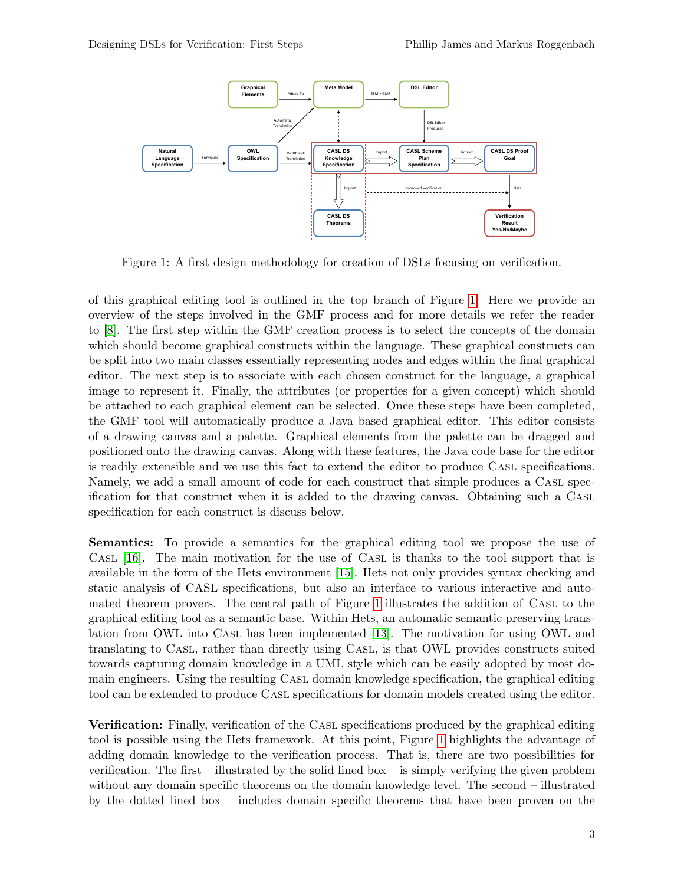

<span id="page-2-0"></span>Figure 1: A first design methodology for creation of DSLs focusing on verification.

of this graphical editing tool is outlined in the top branch of Figure [1.](#page-2-0) Here we provide an overview of the steps involved in the GMF process and for more details we refer the reader to [\[8\]](#page-5-17). The first step within the GMF creation process is to select the concepts of the domain which should become graphical constructs within the language. These graphical constructs can be split into two main classes essentially representing nodes and edges within the final graphical editor. The next step is to associate with each chosen construct for the language, a graphical image to represent it. Finally, the attributes (or properties for a given concept) which should be attached to each graphical element can be selected. Once these steps have been completed, the GMF tool will automatically produce a Java based graphical editor. This editor consists of a drawing canvas and a palette. Graphical elements from the palette can be dragged and positioned onto the drawing canvas. Along with these features, the Java code base for the editor is readily extensible and we use this fact to extend the editor to produce Casl specifications. Namely, we add a small amount of code for each construct that simple produces a Casl specification for that construct when it is added to the drawing canvas. Obtaining such a Casl specification for each construct is discuss below.

Semantics: To provide a semantics for the graphical editing tool we propose the use of Casl [\[16\]](#page-5-11). The main motivation for the use of Casl is thanks to the tool support that is available in the form of the Hets environment [\[15\]](#page-5-12). Hets not only provides syntax checking and static analysis of CASL specifications, but also an interface to various interactive and automated theorem provers. The central path of Figure [1](#page-2-0) illustrates the addition of Casl to the graphical editing tool as a semantic base. Within Hets, an automatic semantic preserving translation from OWL into Casl has been implemented [\[13\]](#page-5-20). The motivation for using OWL and translating to Casl, rather than directly using Casl, is that OWL provides constructs suited towards capturing domain knowledge in a UML style which can be easily adopted by most domain engineers. Using the resulting Casl domain knowledge specification, the graphical editing tool can be extended to produce Casl specifications for domain models created using the editor.

**Verification:** Finally, verification of the CASL specifications produced by the graphical editing tool is possible using the Hets framework. At this point, Figure [1](#page-2-0) highlights the advantage of adding domain knowledge to the verification process. That is, there are two possibilities for verification. The first – illustrated by the solid lined box – is simply verifying the given problem without any domain specific theorems on the domain knowledge level. The second – illustrated by the dotted lined box – includes domain specific theorems that have been proven on the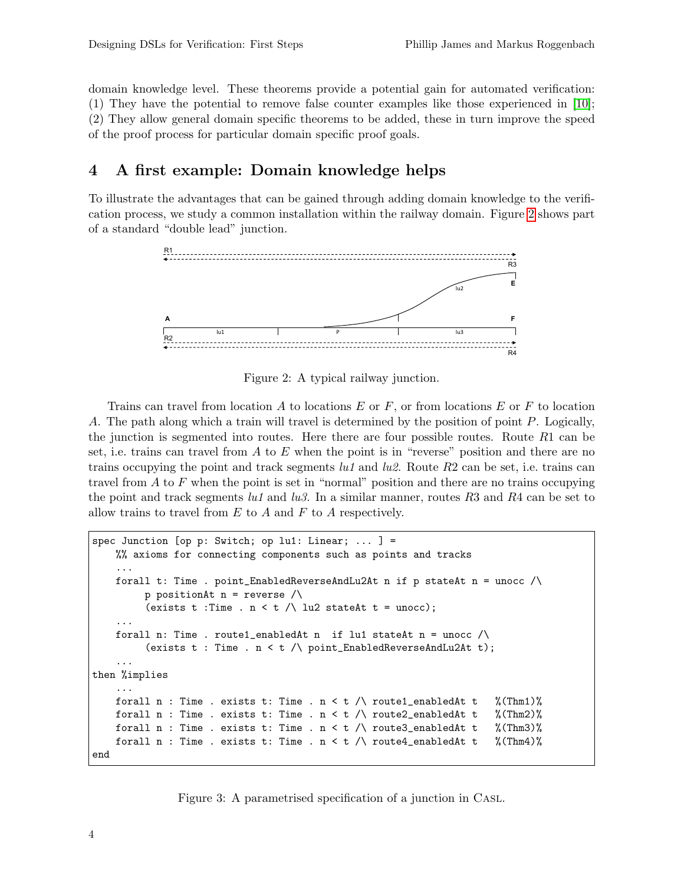domain knowledge level. These theorems provide a potential gain for automated verification: (1) They have the potential to remove false counter examples like those experienced in [\[10\]](#page-5-3); (2) They allow general domain specific theorems to be added, these in turn improve the speed of the proof process for particular domain specific proof goals.

## 4 A first example: Domain knowledge helps

To illustrate the advantages that can be gained through adding domain knowledge to the verification process, we study a common installation within the railway domain. Figure [2](#page-3-0) shows part of a standard "double lead" junction.



<span id="page-3-0"></span>Figure 2: A typical railway junction.

Trains can travel from location A to locations E or F, or from locations E or F to location A. The path along which a train will travel is determined by the position of point P. Logically, the junction is segmented into routes. Here there are four possible routes. Route  $R1$  can be set, i.e. trains can travel from  $A$  to  $E$  when the point is in "reverse" position and there are no trains occupying the point and track segments  $lu1$  and  $lu2$ . Route  $R2$  can be set, i.e. trains can travel from  $A$  to  $F$  when the point is set in "normal" position and there are no trains occupying the point and track segments lu1 and lu3. In a similar manner, routes R3 and R4 can be set to allow trains to travel from  $E$  to  $A$  and  $F$  to  $A$  respectively.

```
spec Junction [op p: Switch; op lu1: Linear; ... ] =
    %% axioms for connecting components such as points and tracks
    ...
    forall t: Time . point_EnabledReverseAndLu2At n if p stateAt n = unocc \wedgep positionAt n = reverse \land(exists t : Time . n < t / lu2 stateAt t = unocc);
    ...
    forall n: Time . route1_enabledAt n if lu1 stateAt n = unocc \wedge(exists t : Time . n < t / point_EnabledReverseAndLu2At t);
    ...
then %implies
    ...
    forall n : Time . exists t: Time . n < t /\ route1_enabledAt t %(Thm1)%
    forall n : Time . exists t: Time . n < t /\ route2_enabledAt t %(Thm2)%
    forall n : Time . exists t: Time . n < t / route3_enabledAt t %(Thm3)%
    forall n : Time . exists t: Time . n < t /\ route4_enabledAt t \frac{\sqrt{mq}}{2}end
```
<span id="page-3-1"></span>Figure 3: A parametrised specification of a junction in Casl.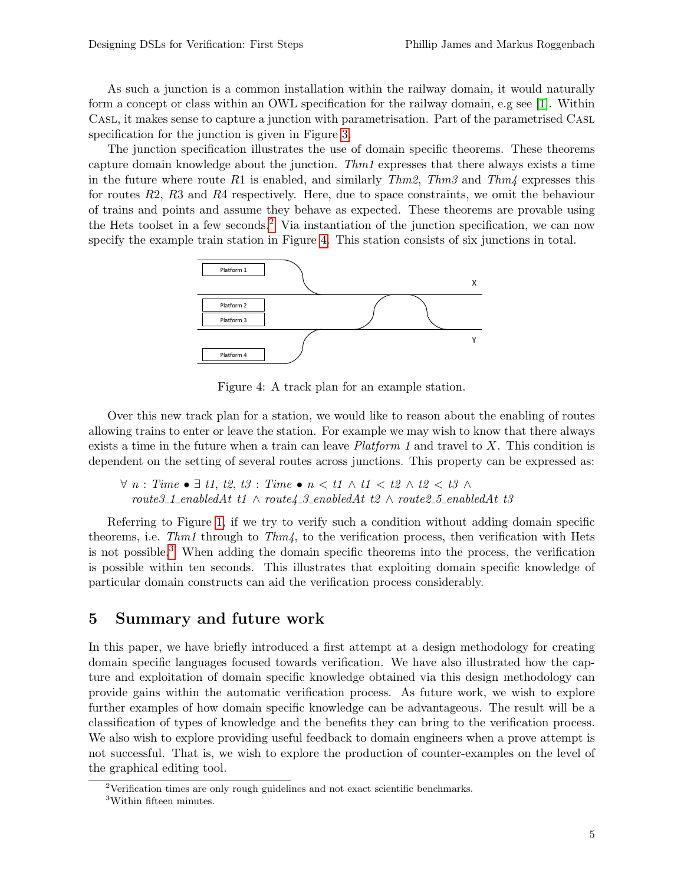As such a junction is a common installation within the railway domain, it would naturally form a concept or class within an OWL specification for the railway domain, e.g see [\[1\]](#page-5-21). Within Casl, it makes sense to capture a junction with parametrisation. Part of the parametrised Casl specification for the junction is given in Figure [3.](#page-3-1)

The junction specification illustrates the use of domain specific theorems. These theorems capture domain knowledge about the junction.  $Thm1$  expresses that there always exists a time in the future where route R1 is enabled, and similarly Thm2, Thm3 and Thm4 expresses this for routes R2, R3 and R4 respectively. Here, due to space constraints, we omit the behaviour of trains and points and assume they behave as expected. These theorems are provable using the Hets toolset in a few seconds.<sup>[2](#page-4-0)</sup> Via instantiation of the junction specification, we can now specify the example train station in Figure [4.](#page-4-1) This station consists of six junctions in total.



<span id="page-4-1"></span>Figure 4: A track plan for an example station.

Over this new track plan for a station, we would like to reason about the enabling of routes allowing trains to enter or leave the station. For example we may wish to know that there always exists a time in the future when a train can leave  $Platform 1$  and travel to X. This condition is dependent on the setting of several routes across junctions. This property can be expressed as:

 $\forall n : Time \bullet \exists t1, t2, t3 : Time \bullet n < t1 \land t1 < t2 \land t2 < t3 \land$  $route 3_1_enable dAt t1 \wedge route 4_3_enable dAt t2 \wedge route 2_5_enable dAt t3$ 

Referring to Figure [1,](#page-2-0) if we try to verify such a condition without adding domain specific theorems, i.e.  $Thm1$  through to  $Thm4$ , to the verification process, then verification with Hets is not possible.<sup>[3](#page-4-2)</sup> When adding the domain specific theorems into the process, the verification is possible within ten seconds. This illustrates that exploiting domain specific knowledge of particular domain constructs can aid the verification process considerably.

## 5 Summary and future work

In this paper, we have briefly introduced a first attempt at a design methodology for creating domain specific languages focused towards verification. We have also illustrated how the capture and exploitation of domain specific knowledge obtained via this design methodology can provide gains within the automatic verification process. As future work, we wish to explore further examples of how domain specific knowledge can be advantageous. The result will be a classification of types of knowledge and the benefits they can bring to the verification process. We also wish to explore providing useful feedback to domain engineers when a prove attempt is not successful. That is, we wish to explore the production of counter-examples on the level of the graphical editing tool.

<span id="page-4-0"></span><sup>&</sup>lt;sup>2</sup>Verification times are only rough guidelines and not exact scientific benchmarks.

<span id="page-4-2"></span><sup>3</sup>Within fifteen minutes.